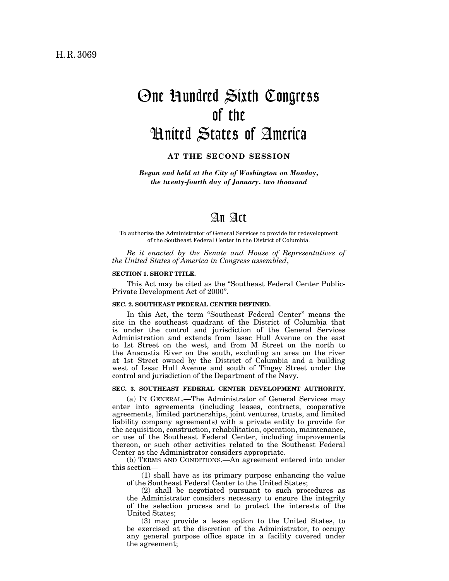# One Hundred Sixth Congress of the United States of America

**AT THE SECOND SESSION**

*Begun and held at the City of Washington on Monday, the twenty-fourth day of January, two thousand*

# An Act

To authorize the Administrator of General Services to provide for redevelopment of the Southeast Federal Center in the District of Columbia.

*Be it enacted by the Senate and House of Representatives of the United States of America in Congress assembled*,

#### **SECTION 1. SHORT TITLE.**

This Act may be cited as the ''Southeast Federal Center Public-Private Development Act of 2000''.

#### **SEC. 2. SOUTHEAST FEDERAL CENTER DEFINED.**

In this Act, the term "Southeast Federal Center" means the site in the southeast quadrant of the District of Columbia that is under the control and jurisdiction of the General Services Administration and extends from Issac Hull Avenue on the east to 1st Street on the west, and from M Street on the north to the Anacostia River on the south, excluding an area on the river at 1st Street owned by the District of Columbia and a building west of Issac Hull Avenue and south of Tingey Street under the control and jurisdiction of the Department of the Navy.

#### **SEC. 3. SOUTHEAST FEDERAL CENTER DEVELOPMENT AUTHORITY.**

(a) IN GENERAL.—The Administrator of General Services may enter into agreements (including leases, contracts, cooperative agreements, limited partnerships, joint ventures, trusts, and limited liability company agreements) with a private entity to provide for the acquisition, construction, rehabilitation, operation, maintenance, or use of the Southeast Federal Center, including improvements thereon, or such other activities related to the Southeast Federal Center as the Administrator considers appropriate.

(b) TERMS AND CONDITIONS.—An agreement entered into under this section—

(1) shall have as its primary purpose enhancing the value of the Southeast Federal Center to the United States;

(2) shall be negotiated pursuant to such procedures as the Administrator considers necessary to ensure the integrity of the selection process and to protect the interests of the United States;

(3) may provide a lease option to the United States, to be exercised at the discretion of the Administrator, to occupy any general purpose office space in a facility covered under the agreement;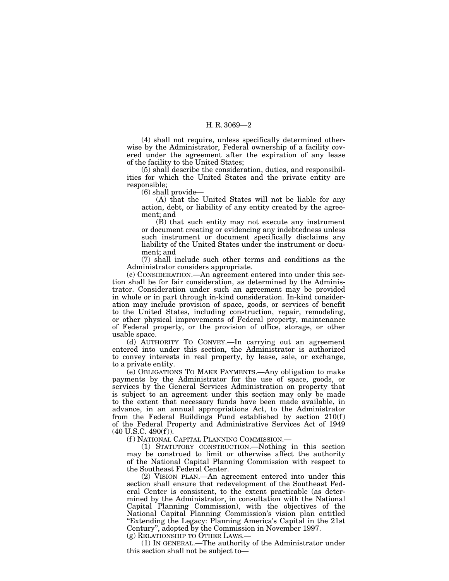## H. R. 3069—2

(4) shall not require, unless specifically determined otherwise by the Administrator, Federal ownership of a facility covered under the agreement after the expiration of any lease of the facility to the United States;

(5) shall describe the consideration, duties, and responsibilities for which the United States and the private entity are responsible;

(6) shall provide—

(A) that the United States will not be liable for any action, debt, or liability of any entity created by the agreement; and

(B) that such entity may not execute any instrument or document creating or evidencing any indebtedness unless such instrument or document specifically disclaims any liability of the United States under the instrument or document; and

(7) shall include such other terms and conditions as the Administrator considers appropriate.

(c) CONSIDERATION.—An agreement entered into under this section shall be for fair consideration, as determined by the Administrator. Consideration under such an agreement may be provided in whole or in part through in-kind consideration. In-kind consideration may include provision of space, goods, or services of benefit to the United States, including construction, repair, remodeling, or other physical improvements of Federal property, maintenance of Federal property, or the provision of office, storage, or other usable space.

(d) AUTHORITY TO CONVEY.—In carrying out an agreement entered into under this section, the Administrator is authorized to convey interests in real property, by lease, sale, or exchange, to a private entity.

(e) OBLIGATIONS TO MAKE PAYMENTS.—Any obligation to make payments by the Administrator for the use of space, goods, or services by the General Services Administration on property that is subject to an agreement under this section may only be made to the extent that necessary funds have been made available, in advance, in an annual appropriations Act, to the Administrator from the Federal Buildings Fund established by section  $210(f)$ of the Federal Property and Administrative Services Act of 1949  $(40 \text{ U.S.C. } 490(f)).$ 

(f ) NATIONAL CAPITAL PLANNING COMMISSION.—

(1) STATUTORY CONSTRUCTION.—Nothing in this section may be construed to limit or otherwise affect the authority of the National Capital Planning Commission with respect to the Southeast Federal Center.

(2) VISION PLAN.—An agreement entered into under this section shall ensure that redevelopment of the Southeast Federal Center is consistent, to the extent practicable (as determined by the Administrator, in consultation with the National Capital Planning Commission), with the objectives of the National Capital Planning Commission's vision plan entitled ''Extending the Legacy: Planning America's Capital in the 21st Century'', adopted by the Commission in November 1997.

(g) RELATIONSHIP TO OTHER LAWS.—

(1) IN GENERAL.—The authority of the Administrator under this section shall not be subject to—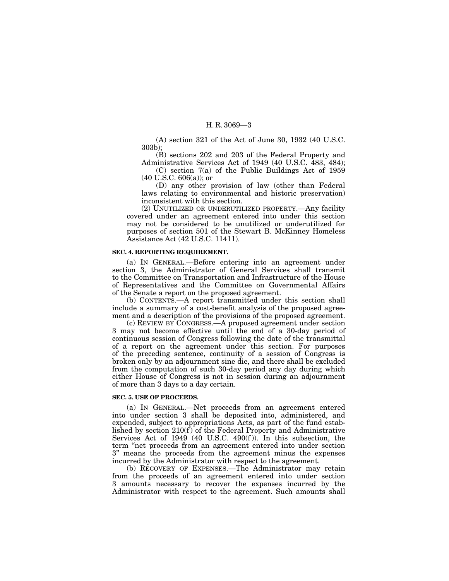### H. R. 3069—3

(A) section 321 of the Act of June 30, 1932 (40 U.S.C. 303b);

(B) sections 202 and 203 of the Federal Property and Administrative Services Act of 1949 (40 U.S.C. 483, 484);

(C) section 7(a) of the Public Buildings Act of 1959  $(40 U.S.C. 606(a))$ ; or

(D) any other provision of law (other than Federal laws relating to environmental and historic preservation) inconsistent with this section.

(2) UNUTILIZED OR UNDERUTILIZED PROPERTY.—Any facility covered under an agreement entered into under this section may not be considered to be unutilized or underutilized for purposes of section 501 of the Stewart B. McKinney Homeless Assistance Act (42 U.S.C. 11411).

#### **SEC. 4. REPORTING REQUIREMENT.**

(a) IN GENERAL.—Before entering into an agreement under section 3, the Administrator of General Services shall transmit to the Committee on Transportation and Infrastructure of the House of Representatives and the Committee on Governmental Affairs of the Senate a report on the proposed agreement.

(b) CONTENTS.—A report transmitted under this section shall include a summary of a cost-benefit analysis of the proposed agreement and a description of the provisions of the proposed agreement.

(c) REVIEW BY CONGRESS.—A proposed agreement under section 3 may not become effective until the end of a 30-day period of continuous session of Congress following the date of the transmittal of a report on the agreement under this section. For purposes of the preceding sentence, continuity of a session of Congress is broken only by an adjournment sine die, and there shall be excluded from the computation of such 30-day period any day during which either House of Congress is not in session during an adjournment of more than 3 days to a day certain.

#### **SEC. 5. USE OF PROCEEDS.**

(a) IN GENERAL.—Net proceeds from an agreement entered into under section 3 shall be deposited into, administered, and expended, subject to appropriations Acts, as part of the fund established by section 210(f ) of the Federal Property and Administrative Services Act of 1949 (40 U.S.C. 490(f )). In this subsection, the term ''net proceeds from an agreement entered into under section 3'' means the proceeds from the agreement minus the expenses incurred by the Administrator with respect to the agreement.

(b) RECOVERY OF EXPENSES.—The Administrator may retain from the proceeds of an agreement entered into under section 3 amounts necessary to recover the expenses incurred by the Administrator with respect to the agreement. Such amounts shall